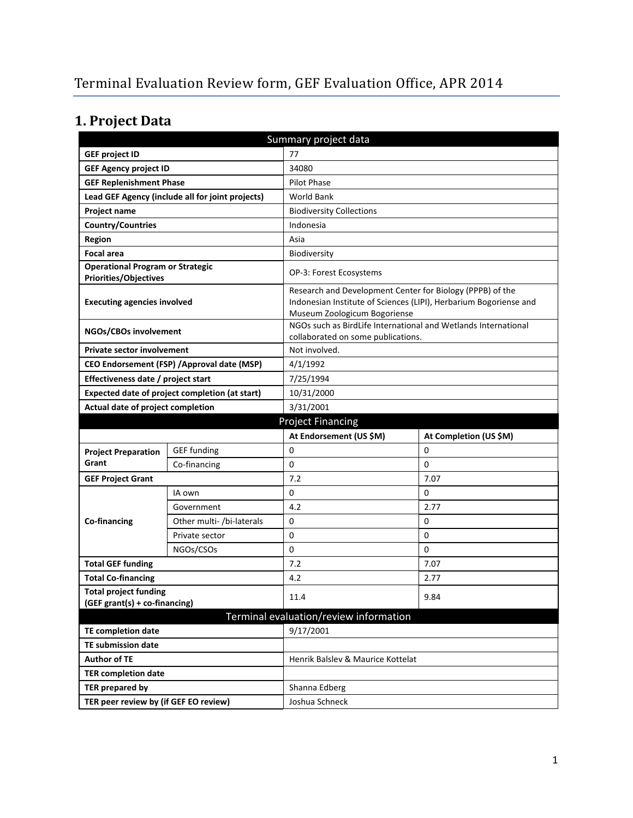# **1. Project Data**

| Summary project data                                             |                                                |                                                                                                                                                                |                        |  |
|------------------------------------------------------------------|------------------------------------------------|----------------------------------------------------------------------------------------------------------------------------------------------------------------|------------------------|--|
| <b>GEF project ID</b><br>77                                      |                                                |                                                                                                                                                                |                        |  |
| <b>GEF Agency project ID</b>                                     |                                                | 34080                                                                                                                                                          |                        |  |
| <b>GEF Replenishment Phase</b>                                   |                                                | Pilot Phase                                                                                                                                                    |                        |  |
| Lead GEF Agency (include all for joint projects)                 |                                                | World Bank                                                                                                                                                     |                        |  |
| Project name                                                     |                                                | <b>Biodiversity Collections</b>                                                                                                                                |                        |  |
| <b>Country/Countries</b>                                         |                                                | Indonesia                                                                                                                                                      |                        |  |
| <b>Region</b>                                                    |                                                | Asia                                                                                                                                                           |                        |  |
| <b>Focal area</b>                                                |                                                | Biodiversity                                                                                                                                                   |                        |  |
| <b>Operational Program or Strategic</b><br>Priorities/Objectives |                                                | OP-3: Forest Ecosystems                                                                                                                                        |                        |  |
| <b>Executing agencies involved</b>                               |                                                | Research and Development Center for Biology (PPPB) of the<br>Indonesian Institute of Sciences (LIPI), Herbarium Bogoriense and<br>Museum Zoologicum Bogoriense |                        |  |
| NGOs/CBOs involvement                                            |                                                | NGOs such as BirdLife International and Wetlands International<br>collaborated on some publications.                                                           |                        |  |
| <b>Private sector involvement</b>                                |                                                | Not involved.                                                                                                                                                  |                        |  |
|                                                                  | CEO Endorsement (FSP) / Approval date (MSP)    | 4/1/1992                                                                                                                                                       |                        |  |
| Effectiveness date / project start                               |                                                | 7/25/1994                                                                                                                                                      |                        |  |
|                                                                  | Expected date of project completion (at start) | 10/31/2000                                                                                                                                                     |                        |  |
| Actual date of project completion                                |                                                | 3/31/2001                                                                                                                                                      |                        |  |
| <b>Project Financing</b>                                         |                                                |                                                                                                                                                                |                        |  |
|                                                                  |                                                |                                                                                                                                                                |                        |  |
|                                                                  |                                                | At Endorsement (US \$M)                                                                                                                                        | At Completion (US \$M) |  |
| <b>Project Preparation</b>                                       | <b>GEF</b> funding                             | 0                                                                                                                                                              | 0                      |  |
| Grant                                                            | Co-financing                                   | 0                                                                                                                                                              | $\Omega$               |  |
| <b>GEF Project Grant</b>                                         |                                                | 7.2                                                                                                                                                            | 7.07                   |  |
|                                                                  | IA own                                         | 0                                                                                                                                                              | 0                      |  |
|                                                                  | Government                                     | 4.2                                                                                                                                                            | 2.77                   |  |
| Co-financing                                                     | Other multi- /bi-laterals                      | 0                                                                                                                                                              | 0                      |  |
|                                                                  | Private sector                                 | 0                                                                                                                                                              | 0                      |  |
|                                                                  | NGOs/CSOs                                      | 0                                                                                                                                                              | 0                      |  |
| <b>Total GEF funding</b>                                         |                                                | 7.2                                                                                                                                                            | 7.07                   |  |
| <b>Total Co-financing</b>                                        |                                                | 4.2                                                                                                                                                            | 2.77                   |  |
| <b>Total project funding</b><br>(GEF grant(s) + co-financing)    |                                                | 11.4                                                                                                                                                           | 9.84                   |  |
|                                                                  |                                                | Terminal evaluation/review information                                                                                                                         |                        |  |
| <b>TE completion date</b>                                        |                                                | 9/17/2001                                                                                                                                                      |                        |  |
| <b>TE submission date</b>                                        |                                                |                                                                                                                                                                |                        |  |
| <b>Author of TE</b>                                              |                                                | Henrik Balsley & Maurice Kottelat                                                                                                                              |                        |  |
| <b>TER completion date</b>                                       |                                                |                                                                                                                                                                |                        |  |
| <b>TER prepared by</b>                                           |                                                | Shanna Edberg                                                                                                                                                  |                        |  |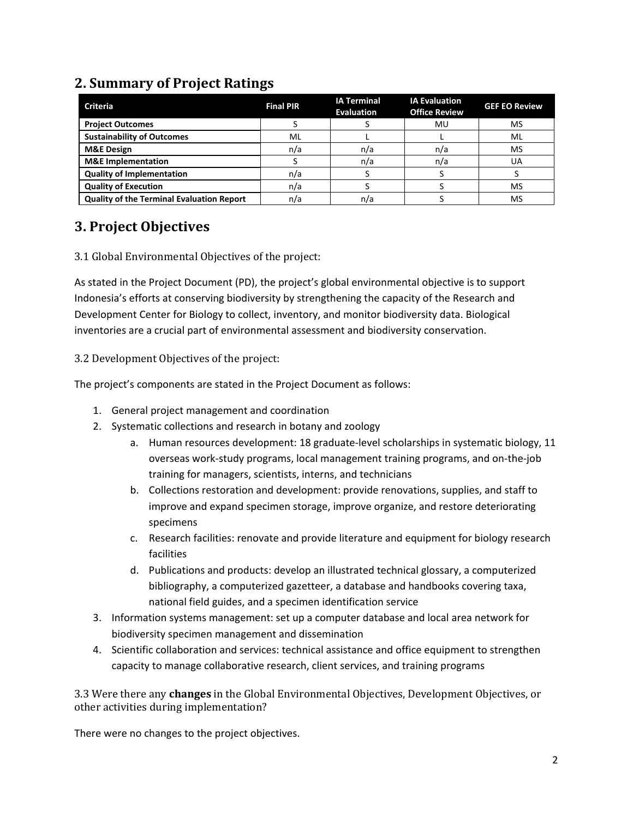### **2. Summary of Project Ratings**

| <b>Criteria</b>                                  | <b>Final PIR</b> | <b>IA Terminal</b><br><b>Evaluation</b> | <b>IA Evaluation</b><br><b>Office Review</b> | <b>GEF EO Review</b> |
|--------------------------------------------------|------------------|-----------------------------------------|----------------------------------------------|----------------------|
| <b>Project Outcomes</b>                          |                  |                                         | MU                                           | MS                   |
| <b>Sustainability of Outcomes</b>                | ML               |                                         |                                              | ML                   |
| <b>M&amp;E Design</b>                            | n/a              | n/a                                     | n/a                                          | MS                   |
| <b>M&amp;E</b> Implementation                    |                  | n/a                                     | n/a                                          | UA                   |
| <b>Quality of Implementation</b>                 | n/a              |                                         |                                              |                      |
| <b>Quality of Execution</b>                      | n/a              |                                         |                                              | MS                   |
| <b>Quality of the Terminal Evaluation Report</b> | n/a              | n/a                                     |                                              | MS                   |

### **3. Project Objectives**

#### 3.1 Global Environmental Objectives of the project:

As stated in the Project Document (PD), the project's global environmental objective is to support Indonesia's efforts at conserving biodiversity by strengthening the capacity of the Research and Development Center for Biology to collect, inventory, and monitor biodiversity data. Biological inventories are a crucial part of environmental assessment and biodiversity conservation.

3.2 Development Objectives of the project:

The project's components are stated in the Project Document as follows:

- 1. General project management and coordination
- 2. Systematic collections and research in botany and zoology
	- a. Human resources development: 18 graduate-level scholarships in systematic biology, 11 overseas work-study programs, local management training programs, and on-the-job training for managers, scientists, interns, and technicians
	- b. Collections restoration and development: provide renovations, supplies, and staff to improve and expand specimen storage, improve organize, and restore deteriorating specimens
	- c. Research facilities: renovate and provide literature and equipment for biology research facilities
	- d. Publications and products: develop an illustrated technical glossary, a computerized bibliography, a computerized gazetteer, a database and handbooks covering taxa, national field guides, and a specimen identification service
- 3. Information systems management: set up a computer database and local area network for biodiversity specimen management and dissemination
- 4. Scientific collaboration and services: technical assistance and office equipment to strengthen capacity to manage collaborative research, client services, and training programs

3.3 Were there any **changes** in the Global Environmental Objectives, Development Objectives, or other activities during implementation?

There were no changes to the project objectives.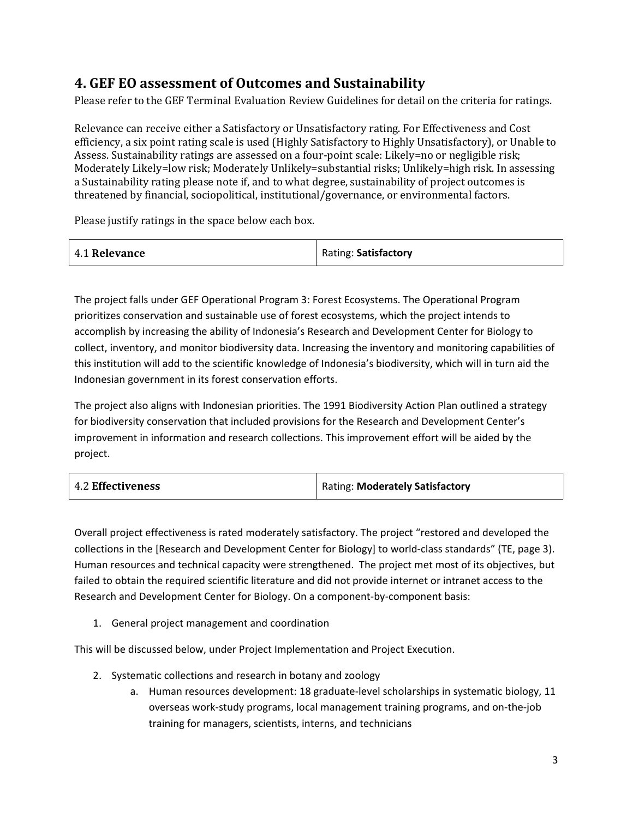#### **4. GEF EO assessment of Outcomes and Sustainability**

Please refer to the GEF Terminal Evaluation Review Guidelines for detail on the criteria for ratings.

Relevance can receive either a Satisfactory or Unsatisfactory rating. For Effectiveness and Cost efficiency, a six point rating scale is used (Highly Satisfactory to Highly Unsatisfactory), or Unable to Assess. Sustainability ratings are assessed on a four-point scale: Likely=no or negligible risk; Moderately Likely=low risk; Moderately Unlikely=substantial risks; Unlikely=high risk. In assessing a Sustainability rating please note if, and to what degree, sustainability of project outcomes is threatened by financial, sociopolitical, institutional/governance, or environmental factors.

Please justify ratings in the space below each box.

| 4.1 Relevance | Rating: Satisfactory |
|---------------|----------------------|
|---------------|----------------------|

The project falls under GEF Operational Program 3: Forest Ecosystems. The Operational Program prioritizes conservation and sustainable use of forest ecosystems, which the project intends to accomplish by increasing the ability of Indonesia's Research and Development Center for Biology to collect, inventory, and monitor biodiversity data. Increasing the inventory and monitoring capabilities of this institution will add to the scientific knowledge of Indonesia's biodiversity, which will in turn aid the Indonesian government in its forest conservation efforts.

The project also aligns with Indonesian priorities. The 1991 Biodiversity Action Plan outlined a strategy for biodiversity conservation that included provisions for the Research and Development Center's improvement in information and research collections. This improvement effort will be aided by the project.

| <b>4.2 Effectiveness</b> | <b>Rating: Moderately Satisfactory</b> |
|--------------------------|----------------------------------------|
|--------------------------|----------------------------------------|

Overall project effectiveness is rated moderately satisfactory. The project "restored and developed the collections in the [Research and Development Center for Biology] to world-class standards" (TE, page 3). Human resources and technical capacity were strengthened. The project met most of its objectives, but failed to obtain the required scientific literature and did not provide internet or intranet access to the Research and Development Center for Biology. On a component-by-component basis:

1. General project management and coordination

This will be discussed below, under Project Implementation and Project Execution.

- 2. Systematic collections and research in botany and zoology
	- a. Human resources development: 18 graduate-level scholarships in systematic biology, 11 overseas work-study programs, local management training programs, and on-the-job training for managers, scientists, interns, and technicians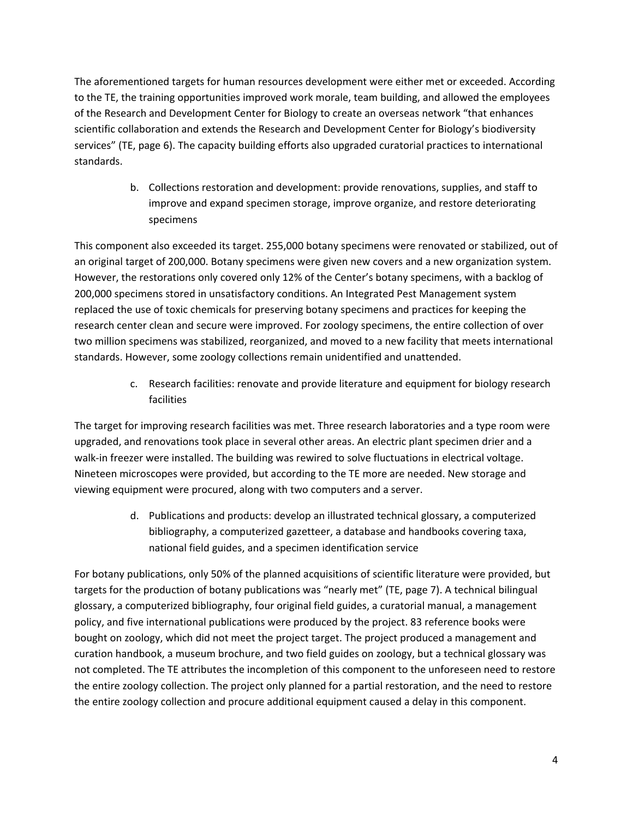The aforementioned targets for human resources development were either met or exceeded. According to the TE, the training opportunities improved work morale, team building, and allowed the employees of the Research and Development Center for Biology to create an overseas network "that enhances scientific collaboration and extends the Research and Development Center for Biology's biodiversity services" (TE, page 6). The capacity building efforts also upgraded curatorial practices to international standards.

> b. Collections restoration and development: provide renovations, supplies, and staff to improve and expand specimen storage, improve organize, and restore deteriorating specimens

This component also exceeded its target. 255,000 botany specimens were renovated or stabilized, out of an original target of 200,000. Botany specimens were given new covers and a new organization system. However, the restorations only covered only 12% of the Center's botany specimens, with a backlog of 200,000 specimens stored in unsatisfactory conditions. An Integrated Pest Management system replaced the use of toxic chemicals for preserving botany specimens and practices for keeping the research center clean and secure were improved. For zoology specimens, the entire collection of over two million specimens was stabilized, reorganized, and moved to a new facility that meets international standards. However, some zoology collections remain unidentified and unattended.

> c. Research facilities: renovate and provide literature and equipment for biology research facilities

The target for improving research facilities was met. Three research laboratories and a type room were upgraded, and renovations took place in several other areas. An electric plant specimen drier and a walk-in freezer were installed. The building was rewired to solve fluctuations in electrical voltage. Nineteen microscopes were provided, but according to the TE more are needed. New storage and viewing equipment were procured, along with two computers and a server.

> d. Publications and products: develop an illustrated technical glossary, a computerized bibliography, a computerized gazetteer, a database and handbooks covering taxa, national field guides, and a specimen identification service

For botany publications, only 50% of the planned acquisitions of scientific literature were provided, but targets for the production of botany publications was "nearly met" (TE, page 7). A technical bilingual glossary, a computerized bibliography, four original field guides, a curatorial manual, a management policy, and five international publications were produced by the project. 83 reference books were bought on zoology, which did not meet the project target. The project produced a management and curation handbook, a museum brochure, and two field guides on zoology, but a technical glossary was not completed. The TE attributes the incompletion of this component to the unforeseen need to restore the entire zoology collection. The project only planned for a partial restoration, and the need to restore the entire zoology collection and procure additional equipment caused a delay in this component.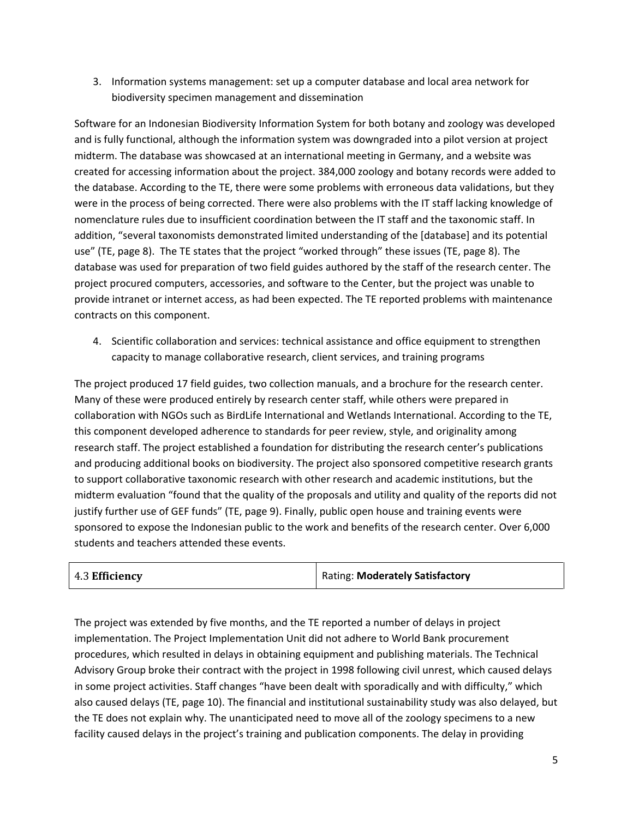3. Information systems management: set up a computer database and local area network for biodiversity specimen management and dissemination

Software for an Indonesian Biodiversity Information System for both botany and zoology was developed and is fully functional, although the information system was downgraded into a pilot version at project midterm. The database was showcased at an international meeting in Germany, and a website was created for accessing information about the project. 384,000 zoology and botany records were added to the database. According to the TE, there were some problems with erroneous data validations, but they were in the process of being corrected. There were also problems with the IT staff lacking knowledge of nomenclature rules due to insufficient coordination between the IT staff and the taxonomic staff. In addition, "several taxonomists demonstrated limited understanding of the [database] and its potential use" (TE, page 8). The TE states that the project "worked through" these issues (TE, page 8). The database was used for preparation of two field guides authored by the staff of the research center. The project procured computers, accessories, and software to the Center, but the project was unable to provide intranet or internet access, as had been expected. The TE reported problems with maintenance contracts on this component.

4. Scientific collaboration and services: technical assistance and office equipment to strengthen capacity to manage collaborative research, client services, and training programs

The project produced 17 field guides, two collection manuals, and a brochure for the research center. Many of these were produced entirely by research center staff, while others were prepared in collaboration with NGOs such as BirdLife International and Wetlands International. According to the TE, this component developed adherence to standards for peer review, style, and originality among research staff. The project established a foundation for distributing the research center's publications and producing additional books on biodiversity. The project also sponsored competitive research grants to support collaborative taxonomic research with other research and academic institutions, but the midterm evaluation "found that the quality of the proposals and utility and quality of the reports did not justify further use of GEF funds" (TE, page 9). Finally, public open house and training events were sponsored to expose the Indonesian public to the work and benefits of the research center. Over 6,000 students and teachers attended these events.

| 4.3 Efficiency | Rating: Moderately Satisfactory |
|----------------|---------------------------------|
|----------------|---------------------------------|

The project was extended by five months, and the TE reported a number of delays in project implementation. The Project Implementation Unit did not adhere to World Bank procurement procedures, which resulted in delays in obtaining equipment and publishing materials. The Technical Advisory Group broke their contract with the project in 1998 following civil unrest, which caused delays in some project activities. Staff changes "have been dealt with sporadically and with difficulty," which also caused delays (TE, page 10). The financial and institutional sustainability study was also delayed, but the TE does not explain why. The unanticipated need to move all of the zoology specimens to a new facility caused delays in the project's training and publication components. The delay in providing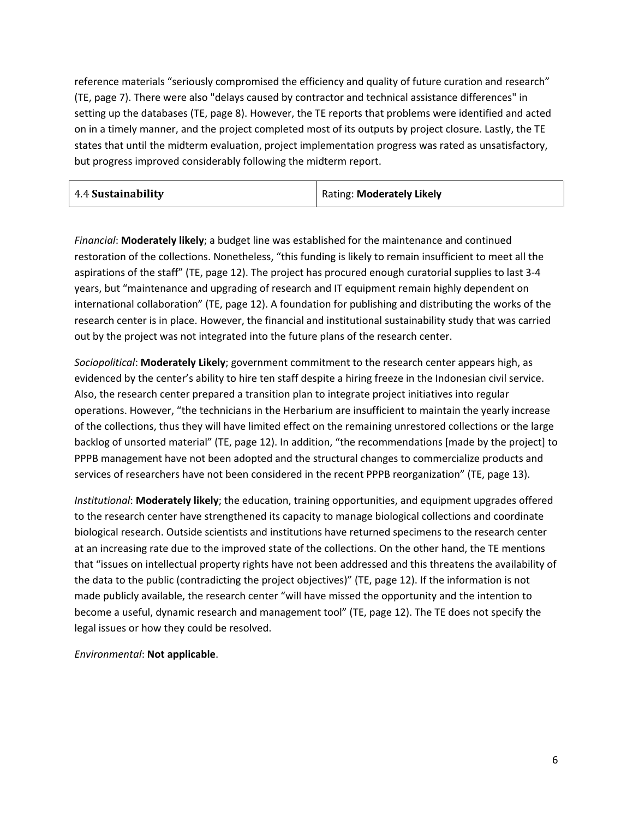reference materials "seriously compromised the efficiency and quality of future curation and research" (TE, page 7). There were also "delays caused by contractor and technical assistance differences" in setting up the databases (TE, page 8). However, the TE reports that problems were identified and acted on in a timely manner, and the project completed most of its outputs by project closure. Lastly, the TE states that until the midterm evaluation, project implementation progress was rated as unsatisfactory, but progress improved considerably following the midterm report.

| 4.4 Sustainability | Rating: Moderately Likely |
|--------------------|---------------------------|
|--------------------|---------------------------|

*Financial*: **Moderately likely**; a budget line was established for the maintenance and continued restoration of the collections. Nonetheless, "this funding is likely to remain insufficient to meet all the aspirations of the staff" (TE, page 12). The project has procured enough curatorial supplies to last 3-4 years, but "maintenance and upgrading of research and IT equipment remain highly dependent on international collaboration" (TE, page 12). A foundation for publishing and distributing the works of the research center is in place. However, the financial and institutional sustainability study that was carried out by the project was not integrated into the future plans of the research center.

*Sociopolitical*: **Moderately Likely**; government commitment to the research center appears high, as evidenced by the center's ability to hire ten staff despite a hiring freeze in the Indonesian civil service. Also, the research center prepared a transition plan to integrate project initiatives into regular operations. However, "the technicians in the Herbarium are insufficient to maintain the yearly increase of the collections, thus they will have limited effect on the remaining unrestored collections or the large backlog of unsorted material" (TE, page 12). In addition, "the recommendations [made by the project] to PPPB management have not been adopted and the structural changes to commercialize products and services of researchers have not been considered in the recent PPPB reorganization" (TE, page 13).

*Institutional*: **Moderately likely**; the education, training opportunities, and equipment upgrades offered to the research center have strengthened its capacity to manage biological collections and coordinate biological research. Outside scientists and institutions have returned specimens to the research center at an increasing rate due to the improved state of the collections. On the other hand, the TE mentions that "issues on intellectual property rights have not been addressed and this threatens the availability of the data to the public (contradicting the project objectives)" (TE, page 12). If the information is not made publicly available, the research center "will have missed the opportunity and the intention to become a useful, dynamic research and management tool" (TE, page 12). The TE does not specify the legal issues or how they could be resolved.

*Environmental*: **Not applicable**.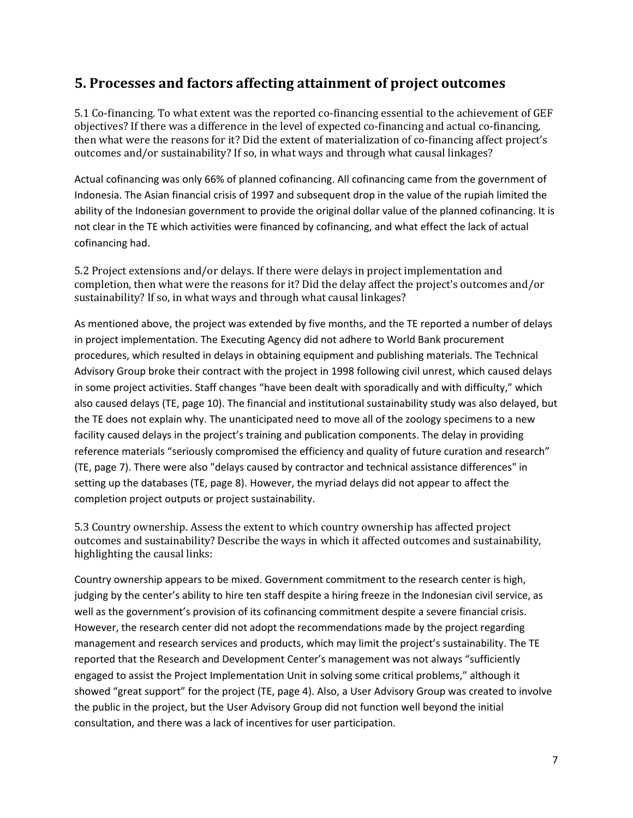#### **5. Processes and factors affecting attainment of project outcomes**

5.1 Co-financing. To what extent was the reported co-financing essential to the achievement of GEF objectives? If there was a difference in the level of expected co-financing and actual co-financing, then what were the reasons for it? Did the extent of materialization of co-financing affect project's outcomes and/or sustainability? If so, in what ways and through what causal linkages?

Actual cofinancing was only 66% of planned cofinancing. All cofinancing came from the government of Indonesia. The Asian financial crisis of 1997 and subsequent drop in the value of the rupiah limited the ability of the Indonesian government to provide the original dollar value of the planned cofinancing. It is not clear in the TE which activities were financed by cofinancing, and what effect the lack of actual cofinancing had.

5.2 Project extensions and/or delays. If there were delays in project implementation and completion, then what were the reasons for it? Did the delay affect the project's outcomes and/or sustainability? If so, in what ways and through what causal linkages?

As mentioned above, the project was extended by five months, and the TE reported a number of delays in project implementation. The Executing Agency did not adhere to World Bank procurement procedures, which resulted in delays in obtaining equipment and publishing materials. The Technical Advisory Group broke their contract with the project in 1998 following civil unrest, which caused delays in some project activities. Staff changes "have been dealt with sporadically and with difficulty," which also caused delays (TE, page 10). The financial and institutional sustainability study was also delayed, but the TE does not explain why. The unanticipated need to move all of the zoology specimens to a new facility caused delays in the project's training and publication components. The delay in providing reference materials "seriously compromised the efficiency and quality of future curation and research" (TE, page 7). There were also "delays caused by contractor and technical assistance differences" in setting up the databases (TE, page 8). However, the myriad delays did not appear to affect the completion project outputs or project sustainability.

5.3 Country ownership. Assess the extent to which country ownership has affected project outcomes and sustainability? Describe the ways in which it affected outcomes and sustainability, highlighting the causal links:

Country ownership appears to be mixed. Government commitment to the research center is high, judging by the center's ability to hire ten staff despite a hiring freeze in the Indonesian civil service, as well as the government's provision of its cofinancing commitment despite a severe financial crisis. However, the research center did not adopt the recommendations made by the project regarding management and research services and products, which may limit the project's sustainability. The TE reported that the Research and Development Center's management was not always "sufficiently engaged to assist the Project Implementation Unit in solving some critical problems," although it showed "great support" for the project (TE, page 4). Also, a User Advisory Group was created to involve the public in the project, but the User Advisory Group did not function well beyond the initial consultation, and there was a lack of incentives for user participation.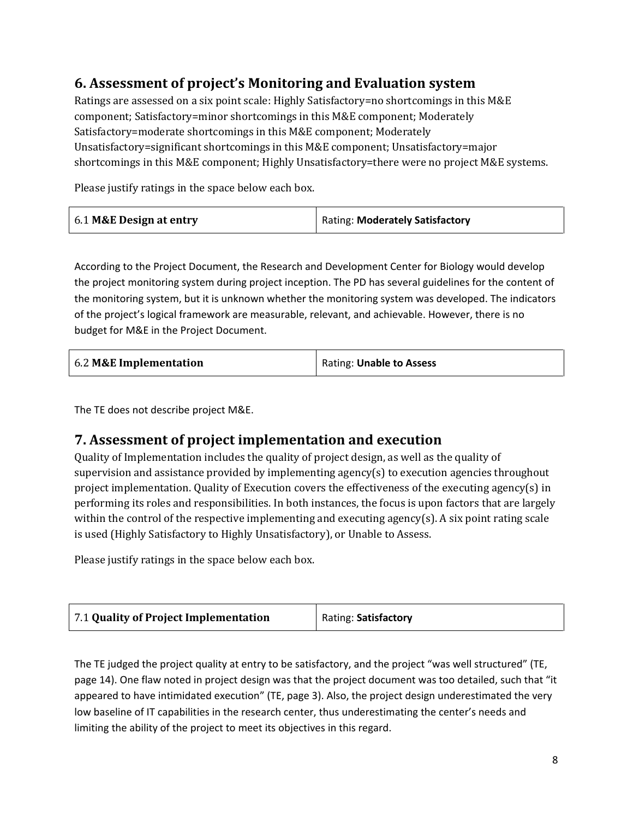## **6. Assessment of project's Monitoring and Evaluation system**

Ratings are assessed on a six point scale: Highly Satisfactory=no shortcomings in this M&E component; Satisfactory=minor shortcomings in this M&E component; Moderately Satisfactory=moderate shortcomings in this M&E component; Moderately Unsatisfactory=significant shortcomings in this M&E component; Unsatisfactory=major shortcomings in this M&E component; Highly Unsatisfactory=there were no project M&E systems.

Please justify ratings in the space below each box.

| 6.1 M&E Design at entry | Rating: Moderately Satisfactory |
|-------------------------|---------------------------------|
|-------------------------|---------------------------------|

According to the Project Document, the Research and Development Center for Biology would develop the project monitoring system during project inception. The PD has several guidelines for the content of the monitoring system, but it is unknown whether the monitoring system was developed. The indicators of the project's logical framework are measurable, relevant, and achievable. However, there is no budget for M&E in the Project Document.

| 6.2 M&E Implementation | Rating: Unable to Assess |
|------------------------|--------------------------|
|------------------------|--------------------------|

The TE does not describe project M&E.

#### **7. Assessment of project implementation and execution**

Quality of Implementation includes the quality of project design, as well as the quality of supervision and assistance provided by implementing agency(s) to execution agencies throughout project implementation. Quality of Execution covers the effectiveness of the executing agency(s) in performing its roles and responsibilities. In both instances, the focus is upon factors that are largely within the control of the respective implementing and executing agency(s). A six point rating scale is used (Highly Satisfactory to Highly Unsatisfactory), or Unable to Assess.

Please justify ratings in the space below each box.

| 7.1 Quality of Project Implementation | Rating: Satisfactory |
|---------------------------------------|----------------------|
|---------------------------------------|----------------------|

The TE judged the project quality at entry to be satisfactory, and the project "was well structured" (TE, page 14). One flaw noted in project design was that the project document was too detailed, such that "it appeared to have intimidated execution" (TE, page 3). Also, the project design underestimated the very low baseline of IT capabilities in the research center, thus underestimating the center's needs and limiting the ability of the project to meet its objectives in this regard.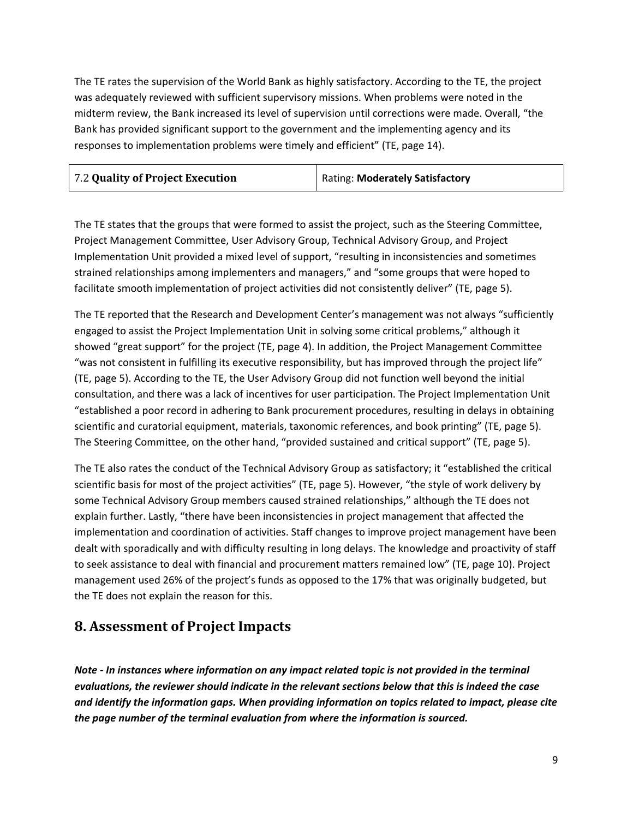The TE rates the supervision of the World Bank as highly satisfactory. According to the TE, the project was adequately reviewed with sufficient supervisory missions. When problems were noted in the midterm review, the Bank increased its level of supervision until corrections were made. Overall, "the Bank has provided significant support to the government and the implementing agency and its responses to implementation problems were timely and efficient" (TE, page 14).

| 7.2 Quality of Project Execution | Rating: Moderately Satisfactory |
|----------------------------------|---------------------------------|
|----------------------------------|---------------------------------|

The TE states that the groups that were formed to assist the project, such as the Steering Committee, Project Management Committee, User Advisory Group, Technical Advisory Group, and Project Implementation Unit provided a mixed level of support, "resulting in inconsistencies and sometimes strained relationships among implementers and managers," and "some groups that were hoped to facilitate smooth implementation of project activities did not consistently deliver" (TE, page 5).

The TE reported that the Research and Development Center's management was not always "sufficiently engaged to assist the Project Implementation Unit in solving some critical problems," although it showed "great support" for the project (TE, page 4). In addition, the Project Management Committee "was not consistent in fulfilling its executive responsibility, but has improved through the project life" (TE, page 5). According to the TE, the User Advisory Group did not function well beyond the initial consultation, and there was a lack of incentives for user participation. The Project Implementation Unit "established a poor record in adhering to Bank procurement procedures, resulting in delays in obtaining scientific and curatorial equipment, materials, taxonomic references, and book printing" (TE, page 5). The Steering Committee, on the other hand, "provided sustained and critical support" (TE, page 5).

The TE also rates the conduct of the Technical Advisory Group as satisfactory; it "established the critical scientific basis for most of the project activities" (TE, page 5). However, "the style of work delivery by some Technical Advisory Group members caused strained relationships," although the TE does not explain further. Lastly, "there have been inconsistencies in project management that affected the implementation and coordination of activities. Staff changes to improve project management have been dealt with sporadically and with difficulty resulting in long delays. The knowledge and proactivity of staff to seek assistance to deal with financial and procurement matters remained low" (TE, page 10). Project management used 26% of the project's funds as opposed to the 17% that was originally budgeted, but the TE does not explain the reason for this.

#### **8. Assessment of Project Impacts**

*Note - In instances where information on any impact related topic is not provided in the terminal evaluations, the reviewer should indicate in the relevant sections below that this is indeed the case and identify the information gaps. When providing information on topics related to impact, please cite the page number of the terminal evaluation from where the information is sourced.*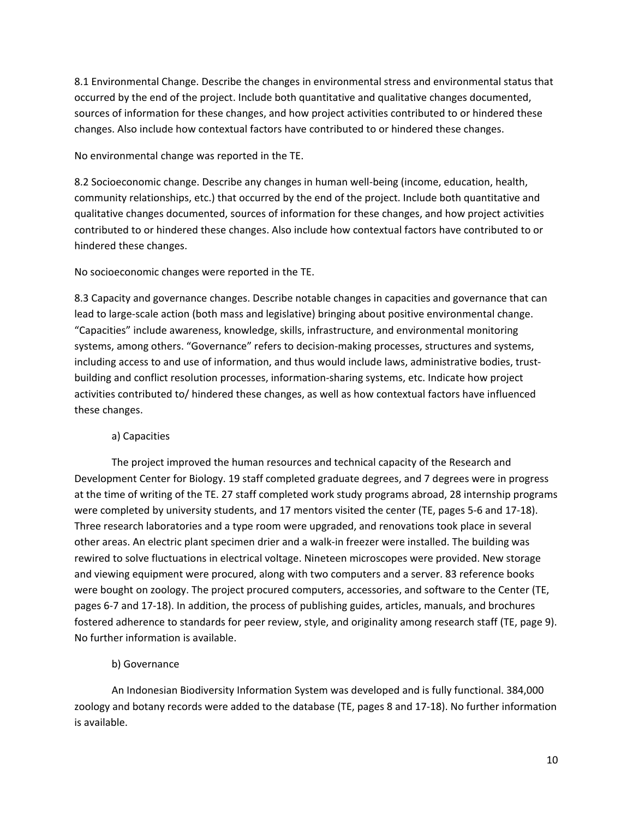8.1 Environmental Change. Describe the changes in environmental stress and environmental status that occurred by the end of the project. Include both quantitative and qualitative changes documented, sources of information for these changes, and how project activities contributed to or hindered these changes. Also include how contextual factors have contributed to or hindered these changes.

No environmental change was reported in the TE.

8.2 Socioeconomic change. Describe any changes in human well-being (income, education, health, community relationships, etc.) that occurred by the end of the project. Include both quantitative and qualitative changes documented, sources of information for these changes, and how project activities contributed to or hindered these changes. Also include how contextual factors have contributed to or hindered these changes.

No socioeconomic changes were reported in the TE.

8.3 Capacity and governance changes. Describe notable changes in capacities and governance that can lead to large-scale action (both mass and legislative) bringing about positive environmental change. "Capacities" include awareness, knowledge, skills, infrastructure, and environmental monitoring systems, among others. "Governance" refers to decision-making processes, structures and systems, including access to and use of information, and thus would include laws, administrative bodies, trustbuilding and conflict resolution processes, information-sharing systems, etc. Indicate how project activities contributed to/ hindered these changes, as well as how contextual factors have influenced these changes.

#### a) Capacities

The project improved the human resources and technical capacity of the Research and Development Center for Biology. 19 staff completed graduate degrees, and 7 degrees were in progress at the time of writing of the TE. 27 staff completed work study programs abroad, 28 internship programs were completed by university students, and 17 mentors visited the center (TE, pages 5-6 and 17-18). Three research laboratories and a type room were upgraded, and renovations took place in several other areas. An electric plant specimen drier and a walk-in freezer were installed. The building was rewired to solve fluctuations in electrical voltage. Nineteen microscopes were provided. New storage and viewing equipment were procured, along with two computers and a server. 83 reference books were bought on zoology. The project procured computers, accessories, and software to the Center (TE, pages 6-7 and 17-18). In addition, the process of publishing guides, articles, manuals, and brochures fostered adherence to standards for peer review, style, and originality among research staff (TE, page 9). No further information is available.

#### b) Governance

An Indonesian Biodiversity Information System was developed and is fully functional. 384,000 zoology and botany records were added to the database (TE, pages 8 and 17-18). No further information is available.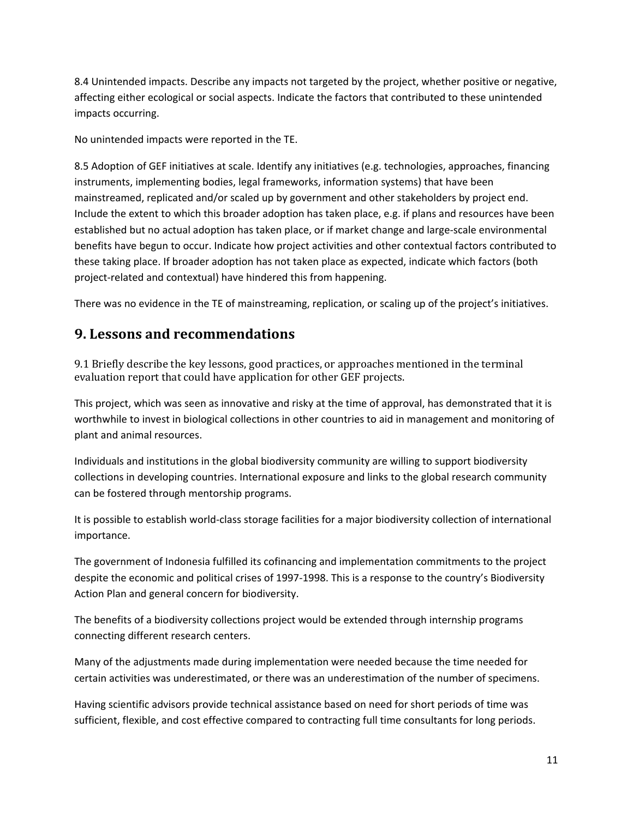8.4 Unintended impacts. Describe any impacts not targeted by the project, whether positive or negative, affecting either ecological or social aspects. Indicate the factors that contributed to these unintended impacts occurring.

No unintended impacts were reported in the TE.

8.5 Adoption of GEF initiatives at scale. Identify any initiatives (e.g. technologies, approaches, financing instruments, implementing bodies, legal frameworks, information systems) that have been mainstreamed, replicated and/or scaled up by government and other stakeholders by project end. Include the extent to which this broader adoption has taken place, e.g. if plans and resources have been established but no actual adoption has taken place, or if market change and large-scale environmental benefits have begun to occur. Indicate how project activities and other contextual factors contributed to these taking place. If broader adoption has not taken place as expected, indicate which factors (both project-related and contextual) have hindered this from happening.

There was no evidence in the TE of mainstreaming, replication, or scaling up of the project's initiatives.

### **9. Lessons and recommendations**

9.1 Briefly describe the key lessons, good practices, or approaches mentioned in the terminal evaluation report that could have application for other GEF projects.

This project, which was seen as innovative and risky at the time of approval, has demonstrated that it is worthwhile to invest in biological collections in other countries to aid in management and monitoring of plant and animal resources.

Individuals and institutions in the global biodiversity community are willing to support biodiversity collections in developing countries. International exposure and links to the global research community can be fostered through mentorship programs.

It is possible to establish world-class storage facilities for a major biodiversity collection of international importance.

The government of Indonesia fulfilled its cofinancing and implementation commitments to the project despite the economic and political crises of 1997-1998. This is a response to the country's Biodiversity Action Plan and general concern for biodiversity.

The benefits of a biodiversity collections project would be extended through internship programs connecting different research centers.

Many of the adjustments made during implementation were needed because the time needed for certain activities was underestimated, or there was an underestimation of the number of specimens.

Having scientific advisors provide technical assistance based on need for short periods of time was sufficient, flexible, and cost effective compared to contracting full time consultants for long periods.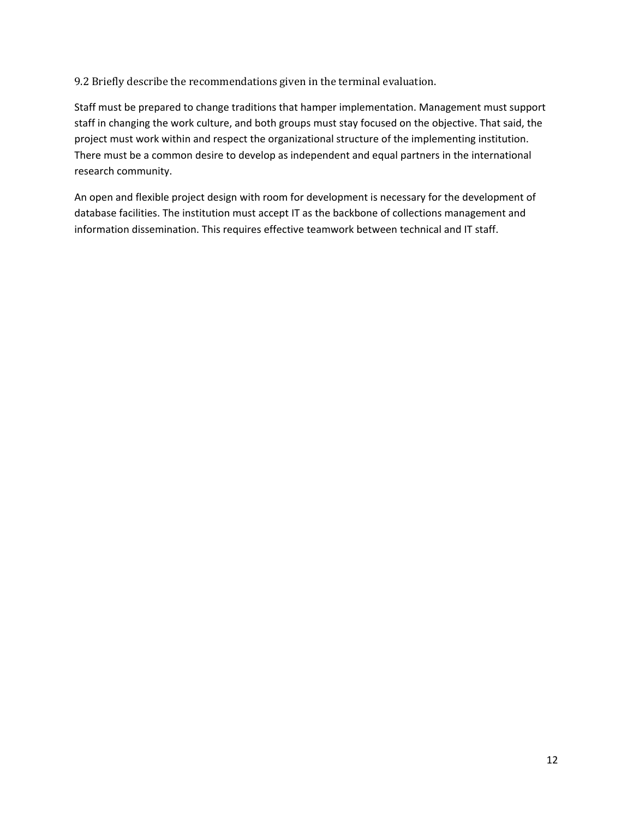9.2 Briefly describe the recommendations given in the terminal evaluation.

Staff must be prepared to change traditions that hamper implementation. Management must support staff in changing the work culture, and both groups must stay focused on the objective. That said, the project must work within and respect the organizational structure of the implementing institution. There must be a common desire to develop as independent and equal partners in the international research community.

An open and flexible project design with room for development is necessary for the development of database facilities. The institution must accept IT as the backbone of collections management and information dissemination. This requires effective teamwork between technical and IT staff.